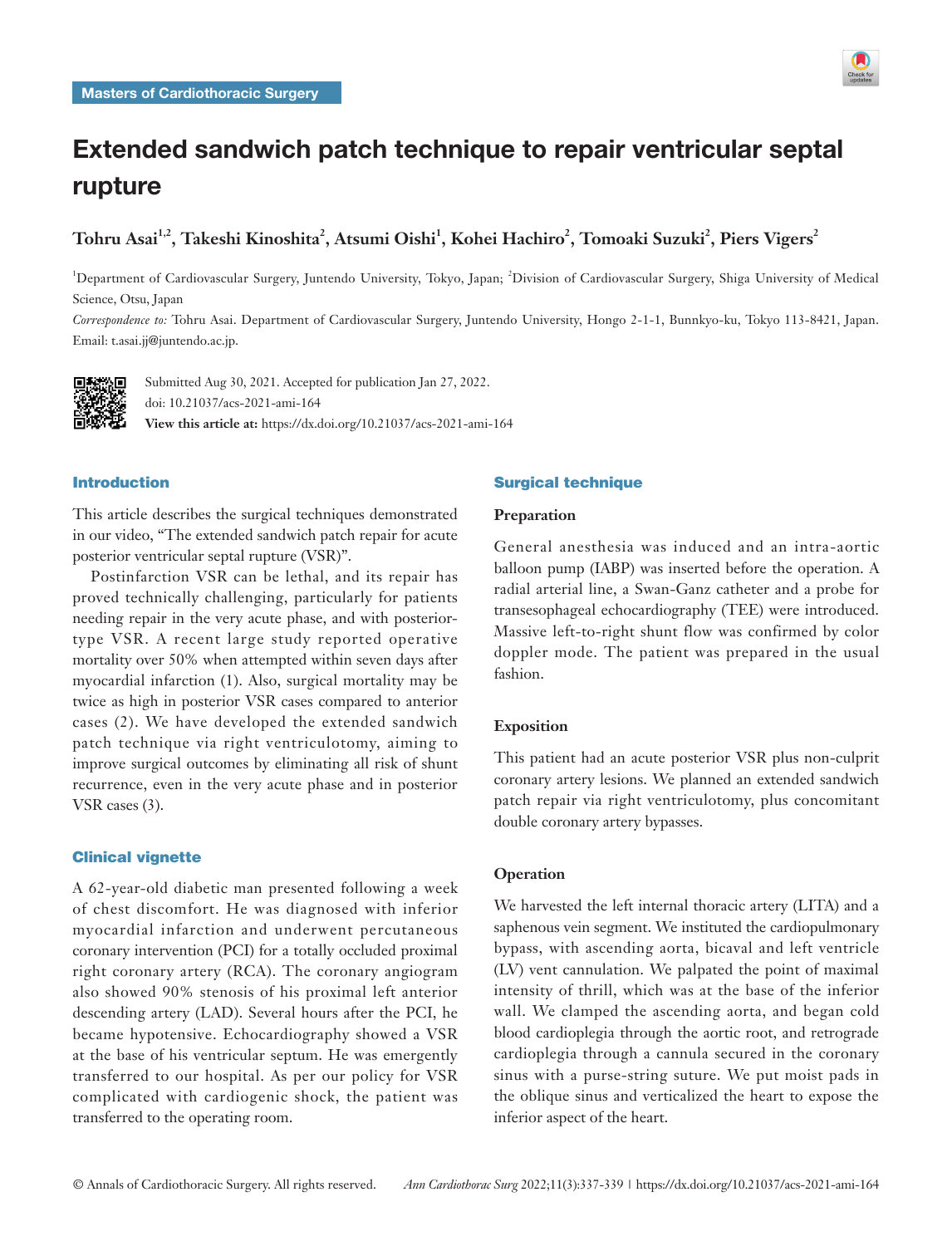

# Extended sandwich patch technique to repair ventricular septal rupture

# $\bf{To}$ hru Asai $^{1,2}$ , Takeshi Kinoshita $^2$ , Atsumi Oishi $^1$ , Kohei Hachiro $^2$ , Tomoaki Suzuki $^2$ , Piers Vigers $^2$

<sup>1</sup>Department of Cardiovascular Surgery, Juntendo University, Tokyo, Japan; <sup>2</sup>Division of Cardiovascular Surgery, Shiga University of Medical Science, Otsu, Japan

*Correspondence to:* Tohru Asai. Department of Cardiovascular Surgery, Juntendo University, Hongo 2-1-1, Bunnkyo-ku, Tokyo 113-8421, Japan. Email: t.asai.jj@juntendo.ac.jp.



Submitted Aug 30, 2021. Accepted for publication Jan 27, 2022. doi: 10.21037/acs-2021-ami-164 **View this article at:** https://dx.doi.org/10.21037/acs-2021-ami-164

## Introduction

This article describes the surgical techniques demonstrated in our video, "The extended sandwich patch repair for acute posterior ventricular septal rupture (VSR)".

Postinfarction VSR can be lethal, and its repair has proved technically challenging, particularly for patients needing repair in the very acute phase, and with posteriortype VSR. A recent large study reported operative mortality over 50% when attempted within seven days after myocardial infarction (1). Also, surgical mortality may be twice as high in posterior VSR cases compared to anterior cases (2). We have developed the extended sandwich patch technique via right ventriculotomy, aiming to improve surgical outcomes by eliminating all risk of shunt recurrence, even in the very acute phase and in posterior VSR cases (3).

# Clinical vignette

A 62-year-old diabetic man presented following a week of chest discomfort. He was diagnosed with inferior myocardial infarction and underwent percutaneous coronary intervention (PCI) for a totally occluded proximal right coronary artery (RCA). The coronary angiogram also showed 90% stenosis of his proximal left anterior descending artery (LAD). Several hours after the PCI, he became hypotensive. Echocardiography showed a VSR at the base of his ventricular septum. He was emergently transferred to our hospital. As per our policy for VSR complicated with cardiogenic shock, the patient was transferred to the operating room.

# Surgical technique

# **Preparation**

General anesthesia was induced and an intra-aortic balloon pump (IABP) was inserted before the operation. A radial arterial line, a Swan-Ganz catheter and a probe for transesophageal echocardiography (TEE) were introduced. Massive left-to-right shunt flow was confirmed by color doppler mode. The patient was prepared in the usual fashion.

#### **Exposition**

This patient had an acute posterior VSR plus non-culprit coronary artery lesions. We planned an extended sandwich patch repair via right ventriculotomy, plus concomitant double coronary artery bypasses.

#### **Operation**

We harvested the left internal thoracic artery (LITA) and a saphenous vein segment. We instituted the cardiopulmonary bypass, with ascending aorta, bicaval and left ventricle (LV) vent cannulation. We palpated the point of maximal intensity of thrill, which was at the base of the inferior wall. We clamped the ascending aorta, and began cold blood cardioplegia through the aortic root, and retrograde cardioplegia through a cannula secured in the coronary sinus with a purse-string suture. We put moist pads in the oblique sinus and verticalized the heart to expose the inferior aspect of the heart.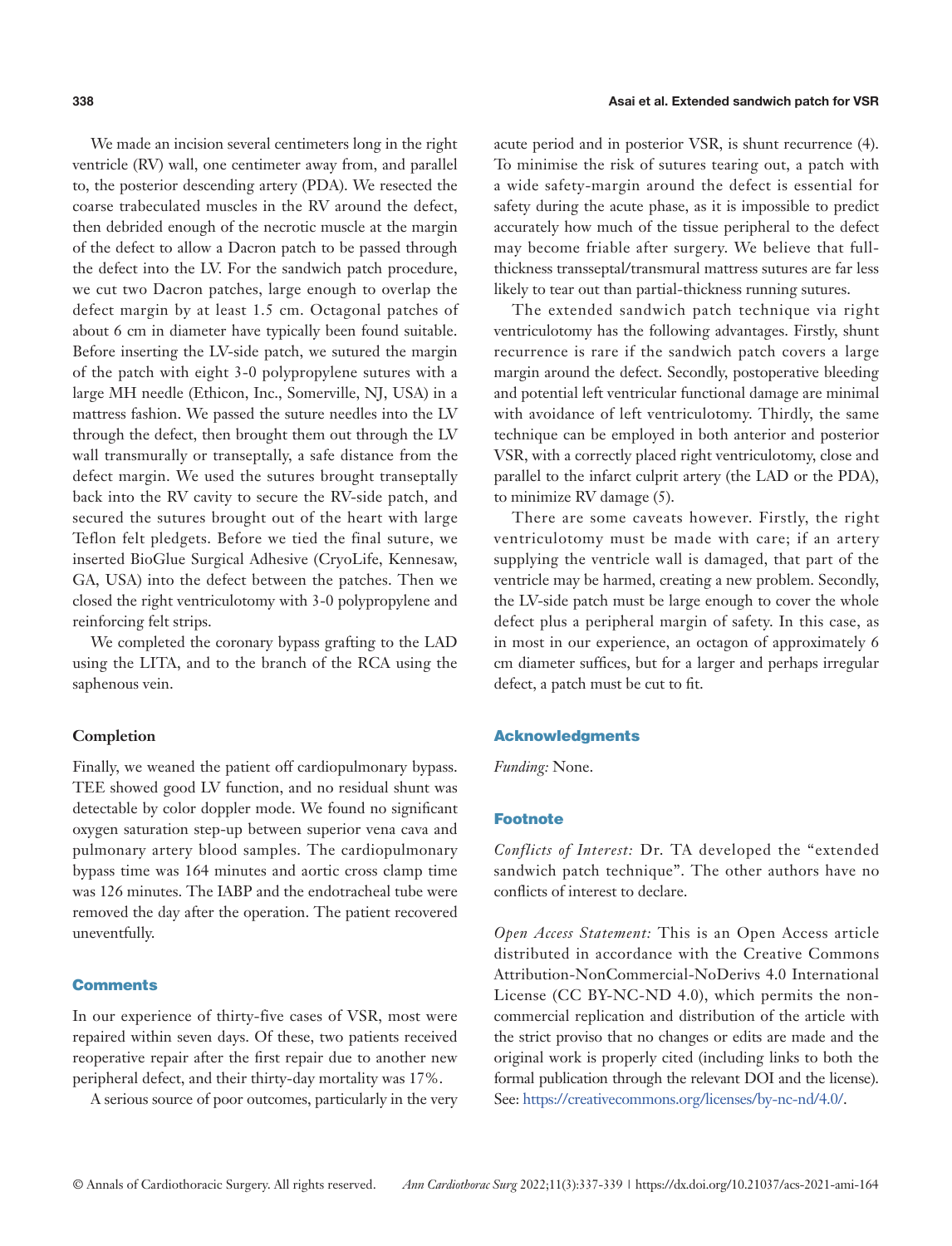We made an incision several centimeters long in the right ventricle (RV) wall, one centimeter away from, and parallel to, the posterior descending artery (PDA). We resected the coarse trabeculated muscles in the RV around the defect, then debrided enough of the necrotic muscle at the margin of the defect to allow a Dacron patch to be passed through the defect into the LV. For the sandwich patch procedure, we cut two Dacron patches, large enough to overlap the defect margin by at least 1.5 cm. Octagonal patches of about 6 cm in diameter have typically been found suitable. Before inserting the LV-side patch, we sutured the margin of the patch with eight 3-0 polypropylene sutures with a large MH needle (Ethicon, Inc., Somerville, NJ, USA) in a mattress fashion. We passed the suture needles into the LV through the defect, then brought them out through the LV wall transmurally or transeptally, a safe distance from the defect margin. We used the sutures brought transeptally back into the RV cavity to secure the RV-side patch, and secured the sutures brought out of the heart with large Teflon felt pledgets. Before we tied the final suture, we inserted BioGlue Surgical Adhesive (CryoLife, Kennesaw, GA, USA) into the defect between the patches. Then we closed the right ventriculotomy with 3-0 polypropylene and reinforcing felt strips.

We completed the coronary bypass grafting to the LAD using the LITA, and to the branch of the RCA using the saphenous vein.

#### **Completion**

Finally, we weaned the patient off cardiopulmonary bypass. TEE showed good LV function, and no residual shunt was detectable by color doppler mode. We found no significant oxygen saturation step-up between superior vena cava and pulmonary artery blood samples. The cardiopulmonary bypass time was 164 minutes and aortic cross clamp time was 126 minutes. The IABP and the endotracheal tube were removed the day after the operation. The patient recovered uneventfully.

#### **Comments**

In our experience of thirty-five cases of VSR, most were repaired within seven days. Of these, two patients received reoperative repair after the first repair due to another new peripheral defect, and their thirty-day mortality was 17%.

A serious source of poor outcomes, particularly in the very

acute period and in posterior VSR, is shunt recurrence (4). To minimise the risk of sutures tearing out, a patch with a wide safety-margin around the defect is essential for safety during the acute phase, as it is impossible to predict accurately how much of the tissue peripheral to the defect may become friable after surgery. We believe that fullthickness transseptal/transmural mattress sutures are far less likely to tear out than partial-thickness running sutures.

The extended sandwich patch technique via right ventriculotomy has the following advantages. Firstly, shunt recurrence is rare if the sandwich patch covers a large margin around the defect. Secondly, postoperative bleeding and potential left ventricular functional damage are minimal with avoidance of left ventriculotomy. Thirdly, the same technique can be employed in both anterior and posterior VSR, with a correctly placed right ventriculotomy, close and parallel to the infarct culprit artery (the LAD or the PDA), to minimize RV damage (5).

There are some caveats however. Firstly, the right ventriculotomy must be made with care; if an artery supplying the ventricle wall is damaged, that part of the ventricle may be harmed, creating a new problem. Secondly, the LV-side patch must be large enough to cover the whole defect plus a peripheral margin of safety. In this case, as in most in our experience, an octagon of approximately 6 cm diameter suffices, but for a larger and perhaps irregular defect, a patch must be cut to fit.

#### Acknowledgments

*Funding:* None.

# Footnote

*Conflicts of Interest:* Dr. TA developed the "extended sandwich patch technique". The other authors have no conflicts of interest to declare.

*Open Access Statement:* This is an Open Access article distributed in accordance with the Creative Commons Attribution-NonCommercial-NoDerivs 4.0 International License (CC BY-NC-ND 4.0), which permits the noncommercial replication and distribution of the article with the strict proviso that no changes or edits are made and the original work is properly cited (including links to both the formal publication through the relevant DOI and the license). See: [https://creativecommons.org/licenses/by-nc-nd/4.0/.](https://creativecommons.org/licenses/by-nc-nd/4.0/)